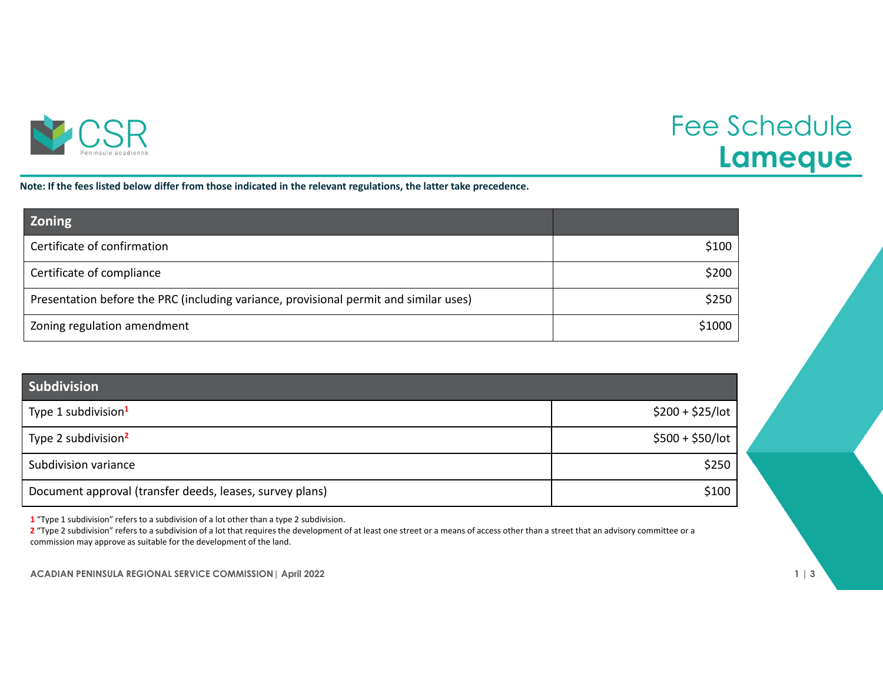

## Fee Schedule **Lameque**

Note: If the fees listed below differ from those indicated in the relevant regulations, the latter take precedence.

| <b>Zoning</b>                                                                         |        |
|---------------------------------------------------------------------------------------|--------|
| Certificate of confirmation                                                           | \$100  |
| Certificate of compliance                                                             | \$200  |
| Presentation before the PRC (including variance, provisional permit and similar uses) | \$250  |
| Zoning regulation amendment                                                           | \$1000 |

| <b>Subdivision</b>                                       |                   |
|----------------------------------------------------------|-------------------|
| Type 1 subdivision <sup>1</sup>                          | $$200 + $25/$ lot |
| Type 2 subdivision <sup>2</sup>                          | $$500 + $50/$ lot |
| Subdivision variance                                     | \$250             |
| Document approval (transfer deeds, leases, survey plans) | \$100             |

**1** "Type 1 subdivision" refers to <sup>a</sup> subdivision of <sup>a</sup> lot other than <sup>a</sup> type 2 subdivision.

**2** "Type 2 subdivision" refers to <sup>a</sup> subdivision of <sup>a</sup> lot that requires the development of at least one street or <sup>a</sup> means of access other than <sup>a</sup> street that an advisory committee or <sup>a</sup> commission may approve as suitable for the development of the land.

**ACADIAN PENINSULA REGIONAL SERVICE COMMISSION| April 2022 1 | 3**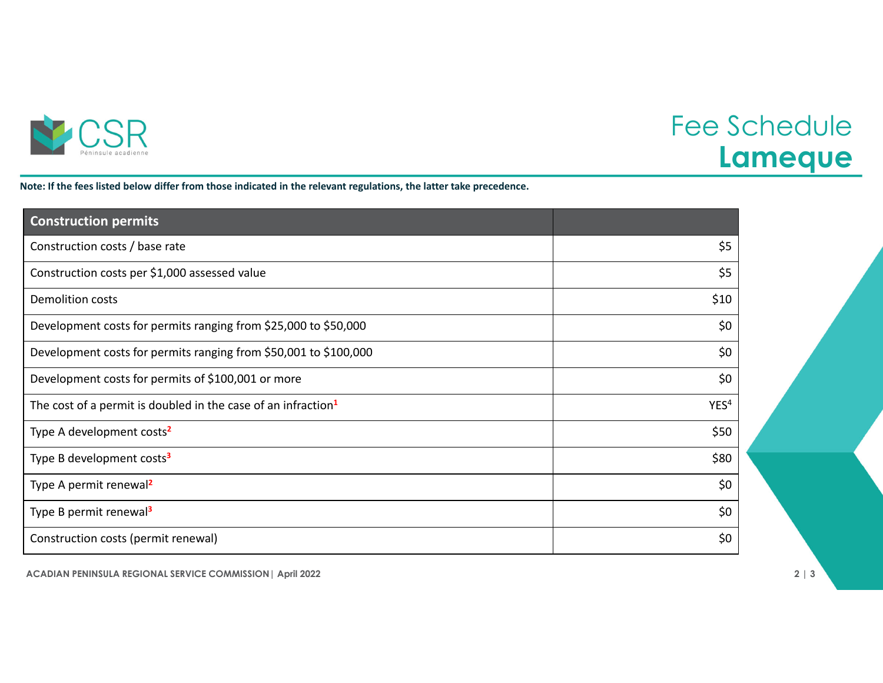

## Fee Schedule **Lameque**

Note: If the fees listed below differ from those indicated in the relevant regulations, the latter take precedence.

| <b>Construction permits</b>                                               |                  |
|---------------------------------------------------------------------------|------------------|
| Construction costs / base rate                                            | \$5              |
| Construction costs per \$1,000 assessed value                             | \$5              |
| <b>Demolition costs</b>                                                   | \$10             |
| Development costs for permits ranging from \$25,000 to \$50,000           | \$0              |
| Development costs for permits ranging from \$50,001 to \$100,000          | \$0              |
| Development costs for permits of \$100,001 or more                        | \$0              |
| The cost of a permit is doubled in the case of an infraction <sup>1</sup> | YES <sup>4</sup> |
| Type A development costs <sup>2</sup>                                     | \$50             |
| Type B development costs <sup>3</sup>                                     | \$80             |
| Type A permit renewal <sup>2</sup>                                        | \$0              |
| Type B permit renewal <sup>3</sup>                                        | \$0              |
| Construction costs (permit renewal)                                       | \$0              |

**ACADIAN PENINSULA REGIONAL SERVICE COMMISSION| April 2022 2 | 3**